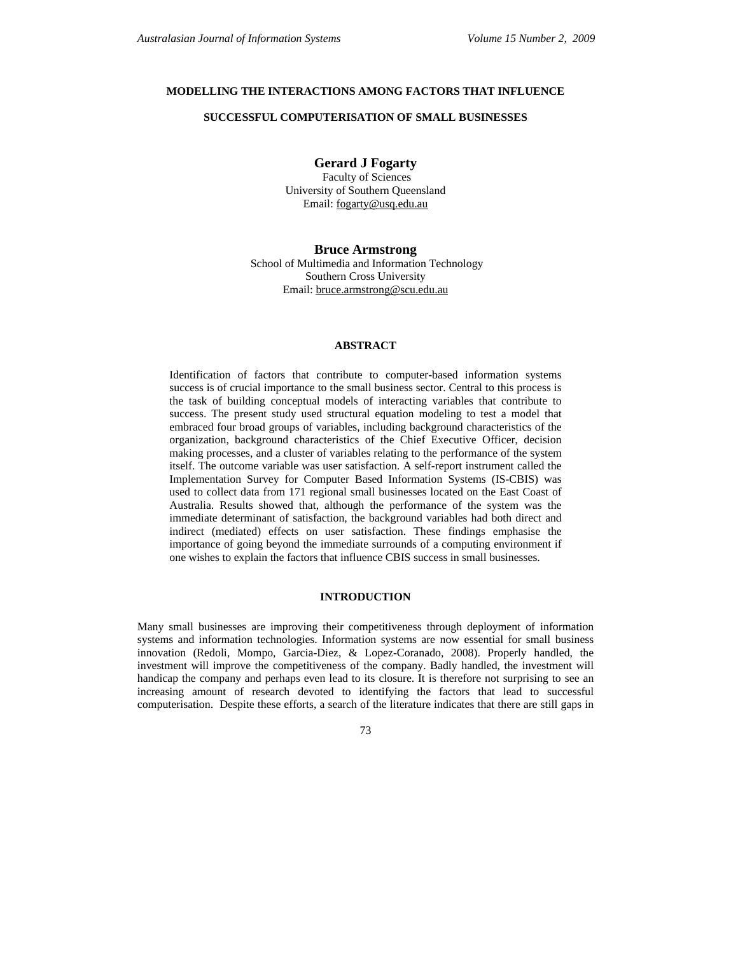# **MODELLING THE INTERACTIONS AMONG FACTORS THAT INFLUENCE**

## **SUCCESSFUL COMPUTERISATION OF SMALL BUSINESSES**

# **Gerard J Fogarty**

 Faculty of Sciences University of Southern Queensland Email: fogarty@usq.edu.au

**Bruce Armstrong**  School of Multimedia and Information Technology Southern Cross University Email: bruce.armstrong@scu.edu.au

# **ABSTRACT**

Identification of factors that contribute to computer-based information systems success is of crucial importance to the small business sector. Central to this process is the task of building conceptual models of interacting variables that contribute to success. The present study used structural equation modeling to test a model that embraced four broad groups of variables, including background characteristics of the organization, background characteristics of the Chief Executive Officer, decision making processes, and a cluster of variables relating to the performance of the system itself. The outcome variable was user satisfaction. A self-report instrument called the Implementation Survey for Computer Based Information Systems (IS-CBIS) was used to collect data from 171 regional small businesses located on the East Coast of Australia. Results showed that, although the performance of the system was the immediate determinant of satisfaction, the background variables had both direct and indirect (mediated) effects on user satisfaction. These findings emphasise the importance of going beyond the immediate surrounds of a computing environment if one wishes to explain the factors that influence CBIS success in small businesses.

# **INTRODUCTION**

Many small businesses are improving their competitiveness through deployment of information systems and information technologies. Information systems are now essential for small business innovation (Redoli, Mompo, Garcia-Diez, & Lopez-Coranado, 2008). Properly handled, the investment will improve the competitiveness of the company. Badly handled, the investment will handicap the company and perhaps even lead to its closure. It is therefore not surprising to see an increasing amount of research devoted to identifying the factors that lead to successful computerisation. Despite these efforts, a search of the literature indicates that there are still gaps in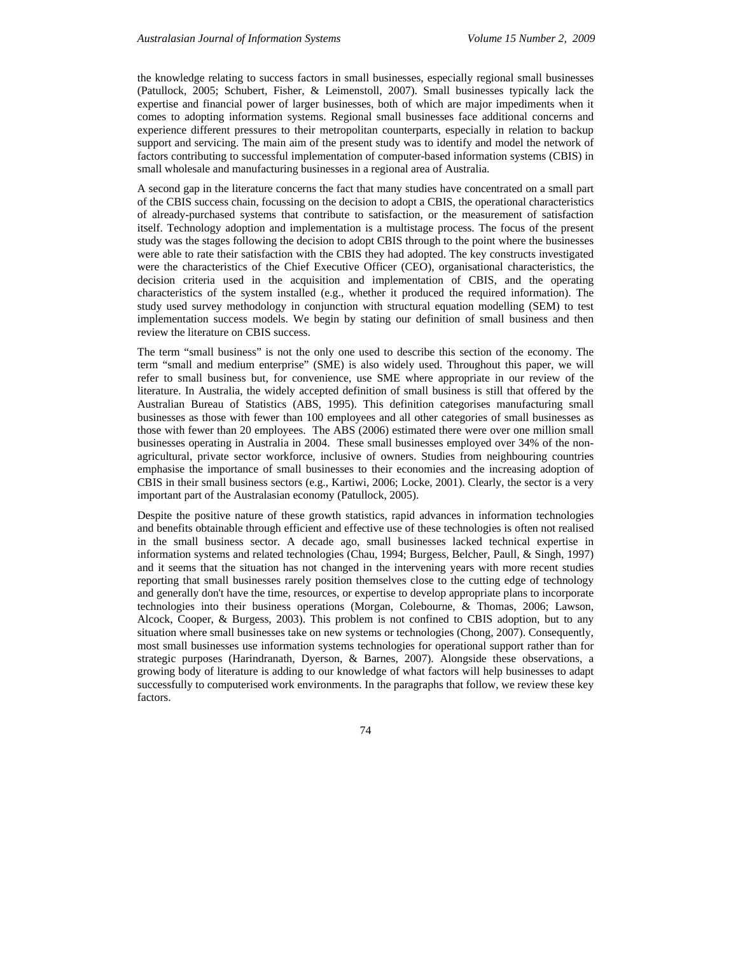the knowledge relating to success factors in small businesses, especially regional small businesses (Patullock, 2005; Schubert, Fisher, & Leimenstoll, 2007). Small businesses typically lack the expertise and financial power of larger businesses, both of which are major impediments when it comes to adopting information systems. Regional small businesses face additional concerns and experience different pressures to their metropolitan counterparts, especially in relation to backup support and servicing. The main aim of the present study was to identify and model the network of factors contributing to successful implementation of computer-based information systems (CBIS) in small wholesale and manufacturing businesses in a regional area of Australia.

A second gap in the literature concerns the fact that many studies have concentrated on a small part of the CBIS success chain, focussing on the decision to adopt a CBIS, the operational characteristics of already-purchased systems that contribute to satisfaction, or the measurement of satisfaction itself. Technology adoption and implementation is a multistage process. The focus of the present study was the stages following the decision to adopt CBIS through to the point where the businesses were able to rate their satisfaction with the CBIS they had adopted. The key constructs investigated were the characteristics of the Chief Executive Officer (CEO), organisational characteristics, the decision criteria used in the acquisition and implementation of CBIS, and the operating characteristics of the system installed (e.g., whether it produced the required information). The study used survey methodology in conjunction with structural equation modelling (SEM) to test implementation success models. We begin by stating our definition of small business and then review the literature on CBIS success.

The term "small business" is not the only one used to describe this section of the economy. The term "small and medium enterprise" (SME) is also widely used. Throughout this paper, we will refer to small business but, for convenience, use SME where appropriate in our review of the literature. In Australia, the widely accepted definition of small business is still that offered by the Australian Bureau of Statistics (ABS, 1995). This definition categorises manufacturing small businesses as those with fewer than 100 employees and all other categories of small businesses as those with fewer than 20 employees. The ABS (2006) estimated there were over one million small businesses operating in Australia in 2004. These small businesses employed over 34% of the nonagricultural, private sector workforce, inclusive of owners. Studies from neighbouring countries emphasise the importance of small businesses to their economies and the increasing adoption of CBIS in their small business sectors (e.g., Kartiwi, 2006; Locke, 2001). Clearly, the sector is a very important part of the Australasian economy (Patullock, 2005).

Despite the positive nature of these growth statistics, rapid advances in information technologies and benefits obtainable through efficient and effective use of these technologies is often not realised in the small business sector. A decade ago, small businesses lacked technical expertise in information systems and related technologies (Chau, 1994; Burgess, Belcher, Paull, & Singh, 1997) and it seems that the situation has not changed in the intervening years with more recent studies reporting that small businesses rarely position themselves close to the cutting edge of technology and generally don't have the time, resources, or expertise to develop appropriate plans to incorporate technologies into their business operations (Morgan, Colebourne, & Thomas, 2006; Lawson, Alcock, Cooper, & Burgess, 2003). This problem is not confined to CBIS adoption, but to any situation where small businesses take on new systems or technologies (Chong, 2007). Consequently, most small businesses use information systems technologies for operational support rather than for strategic purposes (Harindranath, Dyerson, & Barnes, 2007). Alongside these observations, a growing body of literature is adding to our knowledge of what factors will help businesses to adapt successfully to computerised work environments. In the paragraphs that follow, we review these key factors.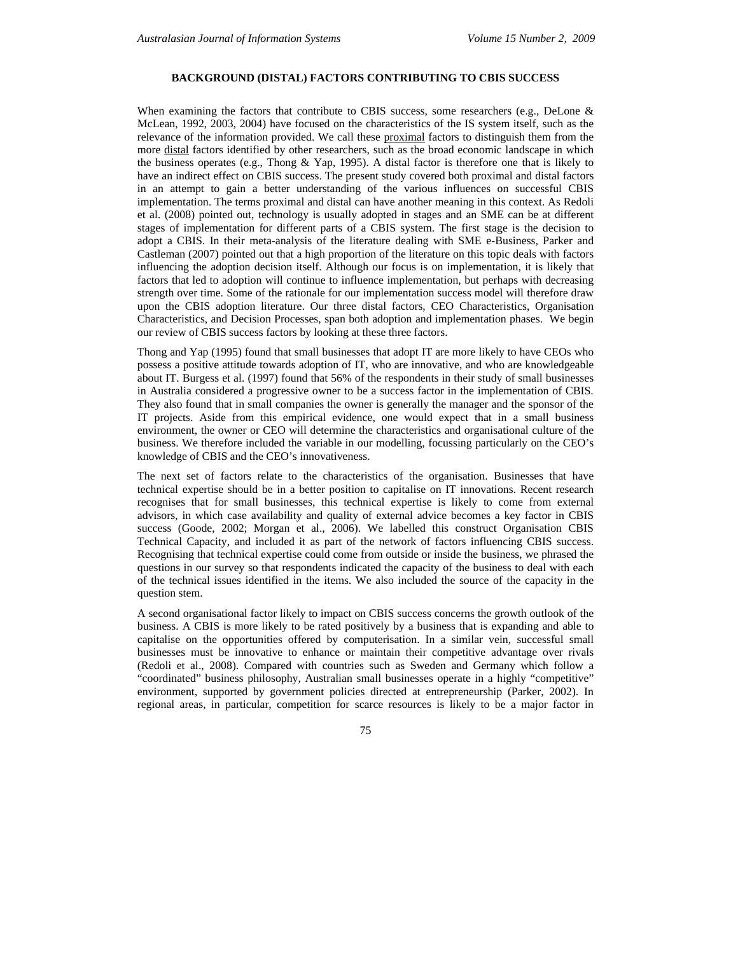# **BACKGROUND (DISTAL) FACTORS CONTRIBUTING TO CBIS SUCCESS**

When examining the factors that contribute to CBIS success, some researchers (e.g., DeLone  $\&$ McLean, 1992, 2003, 2004) have focused on the characteristics of the IS system itself, such as the relevance of the information provided. We call these proximal factors to distinguish them from the more distal factors identified by other researchers, such as the broad economic landscape in which the business operates (e.g., Thong & Yap, 1995). A distal factor is therefore one that is likely to have an indirect effect on CBIS success. The present study covered both proximal and distal factors in an attempt to gain a better understanding of the various influences on successful CBIS implementation. The terms proximal and distal can have another meaning in this context. As Redoli et al. (2008) pointed out, technology is usually adopted in stages and an SME can be at different stages of implementation for different parts of a CBIS system. The first stage is the decision to adopt a CBIS. In their meta-analysis of the literature dealing with SME e-Business, Parker and Castleman (2007) pointed out that a high proportion of the literature on this topic deals with factors influencing the adoption decision itself. Although our focus is on implementation, it is likely that factors that led to adoption will continue to influence implementation, but perhaps with decreasing strength over time. Some of the rationale for our implementation success model will therefore draw upon the CBIS adoption literature. Our three distal factors, CEO Characteristics, Organisation Characteristics, and Decision Processes, span both adoption and implementation phases. We begin our review of CBIS success factors by looking at these three factors.

Thong and Yap (1995) found that small businesses that adopt IT are more likely to have CEOs who possess a positive attitude towards adoption of IT, who are innovative, and who are knowledgeable about IT. Burgess et al. (1997) found that 56% of the respondents in their study of small businesses in Australia considered a progressive owner to be a success factor in the implementation of CBIS. They also found that in small companies the owner is generally the manager and the sponsor of the IT projects. Aside from this empirical evidence, one would expect that in a small business environment, the owner or CEO will determine the characteristics and organisational culture of the business. We therefore included the variable in our modelling, focussing particularly on the CEO's knowledge of CBIS and the CEO's innovativeness.

The next set of factors relate to the characteristics of the organisation. Businesses that have technical expertise should be in a better position to capitalise on IT innovations. Recent research recognises that for small businesses, this technical expertise is likely to come from external advisors, in which case availability and quality of external advice becomes a key factor in CBIS success (Goode, 2002; Morgan et al., 2006). We labelled this construct Organisation CBIS Technical Capacity, and included it as part of the network of factors influencing CBIS success. Recognising that technical expertise could come from outside or inside the business, we phrased the questions in our survey so that respondents indicated the capacity of the business to deal with each of the technical issues identified in the items. We also included the source of the capacity in the question stem.

A second organisational factor likely to impact on CBIS success concerns the growth outlook of the business. A CBIS is more likely to be rated positively by a business that is expanding and able to capitalise on the opportunities offered by computerisation. In a similar vein, successful small businesses must be innovative to enhance or maintain their competitive advantage over rivals (Redoli et al., 2008). Compared with countries such as Sweden and Germany which follow a "coordinated" business philosophy, Australian small businesses operate in a highly "competitive" environment, supported by government policies directed at entrepreneurship (Parker, 2002). In regional areas, in particular, competition for scarce resources is likely to be a major factor in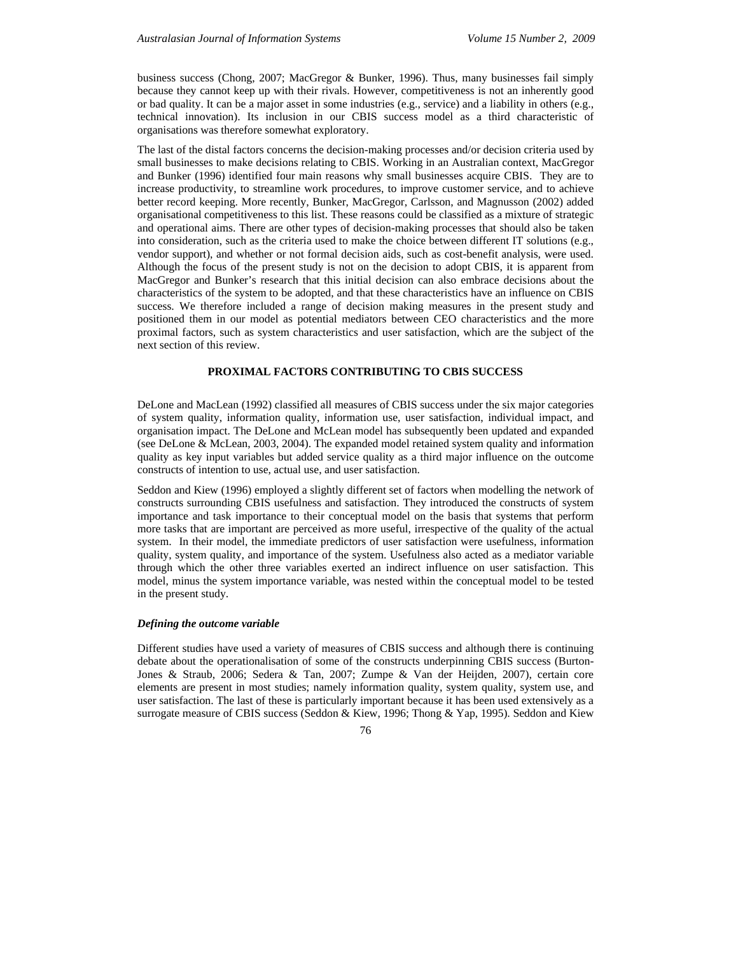business success (Chong, 2007; MacGregor & Bunker, 1996). Thus, many businesses fail simply because they cannot keep up with their rivals. However, competitiveness is not an inherently good or bad quality. It can be a major asset in some industries (e.g., service) and a liability in others (e.g., technical innovation). Its inclusion in our CBIS success model as a third characteristic of organisations was therefore somewhat exploratory.

The last of the distal factors concerns the decision-making processes and/or decision criteria used by small businesses to make decisions relating to CBIS. Working in an Australian context, MacGregor and Bunker (1996) identified four main reasons why small businesses acquire CBIS. They are to increase productivity, to streamline work procedures, to improve customer service, and to achieve better record keeping. More recently, Bunker, MacGregor, Carlsson, and Magnusson (2002) added organisational competitiveness to this list. These reasons could be classified as a mixture of strategic and operational aims. There are other types of decision-making processes that should also be taken into consideration, such as the criteria used to make the choice between different IT solutions (e.g., vendor support), and whether or not formal decision aids, such as cost-benefit analysis, were used. Although the focus of the present study is not on the decision to adopt CBIS, it is apparent from MacGregor and Bunker's research that this initial decision can also embrace decisions about the characteristics of the system to be adopted, and that these characteristics have an influence on CBIS success. We therefore included a range of decision making measures in the present study and positioned them in our model as potential mediators between CEO characteristics and the more proximal factors, such as system characteristics and user satisfaction, which are the subject of the next section of this review.

### **PROXIMAL FACTORS CONTRIBUTING TO CBIS SUCCESS**

DeLone and MacLean (1992) classified all measures of CBIS success under the six major categories of system quality, information quality, information use, user satisfaction, individual impact, and organisation impact. The DeLone and McLean model has subsequently been updated and expanded (see DeLone & McLean, 2003, 2004). The expanded model retained system quality and information quality as key input variables but added service quality as a third major influence on the outcome constructs of intention to use, actual use, and user satisfaction.

Seddon and Kiew (1996) employed a slightly different set of factors when modelling the network of constructs surrounding CBIS usefulness and satisfaction. They introduced the constructs of system importance and task importance to their conceptual model on the basis that systems that perform more tasks that are important are perceived as more useful, irrespective of the quality of the actual system. In their model, the immediate predictors of user satisfaction were usefulness, information quality, system quality, and importance of the system. Usefulness also acted as a mediator variable through which the other three variables exerted an indirect influence on user satisfaction. This model, minus the system importance variable, was nested within the conceptual model to be tested in the present study.

#### *Defining the outcome variable*

Different studies have used a variety of measures of CBIS success and although there is continuing debate about the operationalisation of some of the constructs underpinning CBIS success (Burton-Jones & Straub, 2006; Sedera & Tan, 2007; Zumpe & Van der Heijden, 2007), certain core elements are present in most studies; namely information quality, system quality, system use, and user satisfaction. The last of these is particularly important because it has been used extensively as a surrogate measure of CBIS success (Seddon & Kiew, 1996; Thong & Yap, 1995). Seddon and Kiew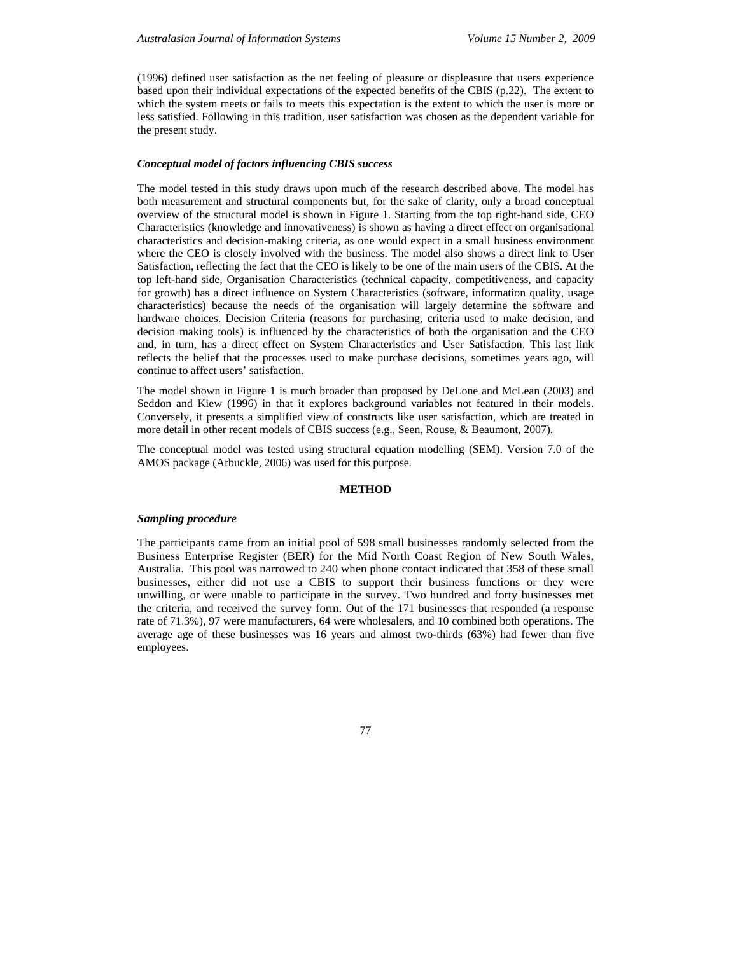(1996) defined user satisfaction as the net feeling of pleasure or displeasure that users experience based upon their individual expectations of the expected benefits of the CBIS (p.22). The extent to which the system meets or fails to meets this expectation is the extent to which the user is more or less satisfied. Following in this tradition, user satisfaction was chosen as the dependent variable for the present study.

### *Conceptual model of factors influencing CBIS success*

The model tested in this study draws upon much of the research described above. The model has both measurement and structural components but, for the sake of clarity, only a broad conceptual overview of the structural model is shown in Figure 1. Starting from the top right-hand side, CEO Characteristics (knowledge and innovativeness) is shown as having a direct effect on organisational characteristics and decision-making criteria, as one would expect in a small business environment where the CEO is closely involved with the business. The model also shows a direct link to User Satisfaction, reflecting the fact that the CEO is likely to be one of the main users of the CBIS. At the top left-hand side, Organisation Characteristics (technical capacity, competitiveness, and capacity for growth) has a direct influence on System Characteristics (software, information quality, usage characteristics) because the needs of the organisation will largely determine the software and hardware choices. Decision Criteria (reasons for purchasing, criteria used to make decision, and decision making tools) is influenced by the characteristics of both the organisation and the CEO and, in turn, has a direct effect on System Characteristics and User Satisfaction. This last link reflects the belief that the processes used to make purchase decisions, sometimes years ago, will continue to affect users' satisfaction.

The model shown in Figure 1 is much broader than proposed by DeLone and McLean (2003) and Seddon and Kiew (1996) in that it explores background variables not featured in their models. Conversely, it presents a simplified view of constructs like user satisfaction, which are treated in more detail in other recent models of CBIS success (e.g., Seen, Rouse, & Beaumont, 2007).

The conceptual model was tested using structural equation modelling (SEM). Version 7.0 of the AMOS package (Arbuckle, 2006) was used for this purpose.

#### **METHOD**

#### *Sampling procedure*

The participants came from an initial pool of 598 small businesses randomly selected from the Business Enterprise Register (BER) for the Mid North Coast Region of New South Wales, Australia. This pool was narrowed to 240 when phone contact indicated that 358 of these small businesses, either did not use a CBIS to support their business functions or they were unwilling, or were unable to participate in the survey. Two hundred and forty businesses met the criteria, and received the survey form. Out of the 171 businesses that responded (a response rate of 71.3%), 97 were manufacturers, 64 were wholesalers, and 10 combined both operations. The average age of these businesses was 16 years and almost two-thirds (63%) had fewer than five employees.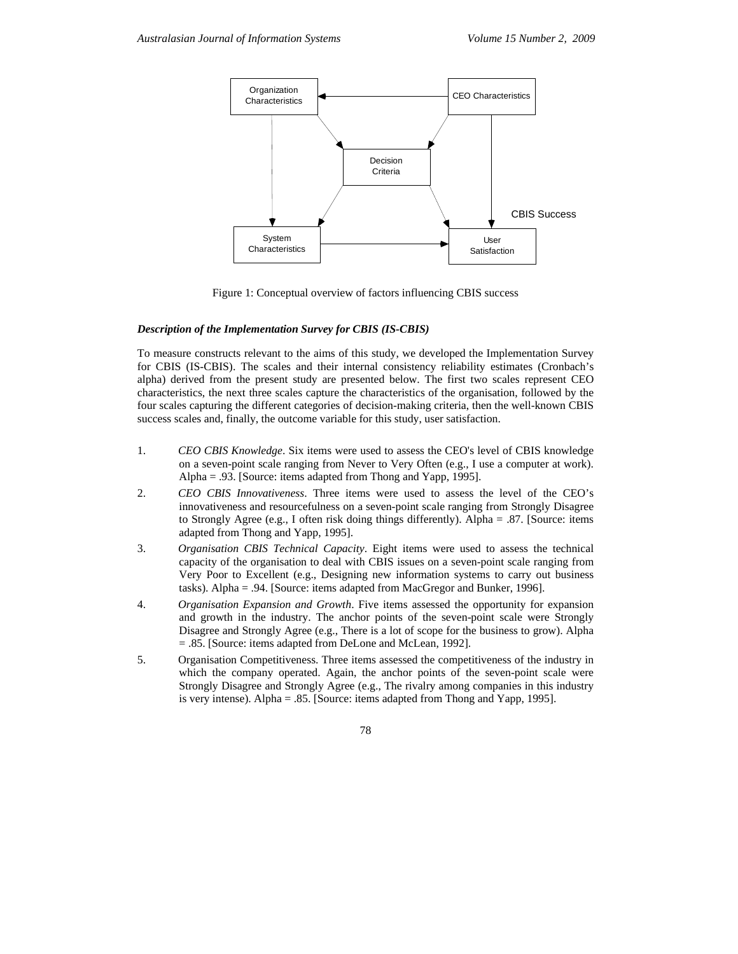

Figure 1: Conceptual overview of factors influencing CBIS success

## *Description of the Implementation Survey for CBIS (IS-CBIS)*

To measure constructs relevant to the aims of this study, we developed the Implementation Survey for CBIS (IS-CBIS). The scales and their internal consistency reliability estimates (Cronbach's alpha) derived from the present study are presented below. The first two scales represent CEO characteristics, the next three scales capture the characteristics of the organisation, followed by the four scales capturing the different categories of decision-making criteria, then the well-known CBIS success scales and, finally, the outcome variable for this study, user satisfaction.

- 1. *CEO CBIS Knowledge*. Six items were used to assess the CEO's level of CBIS knowledge on a seven-point scale ranging from Never to Very Often (e.g., I use a computer at work). Alpha = .93. [Source: items adapted from Thong and Yapp, 1995].
- 2. *CEO CBIS Innovativeness*. Three items were used to assess the level of the CEO's innovativeness and resourcefulness on a seven-point scale ranging from Strongly Disagree to Strongly Agree (e.g., I often risk doing things differently). Alpha = .87. [Source: items adapted from Thong and Yapp, 1995].
- 3. *Organisation CBIS Technical Capacity*. Eight items were used to assess the technical capacity of the organisation to deal with CBIS issues on a seven-point scale ranging from Very Poor to Excellent (e.g., Designing new information systems to carry out business tasks). Alpha = .94. [Source: items adapted from MacGregor and Bunker, 1996].
- 4. *Organisation Expansion and Growth*. Five items assessed the opportunity for expansion and growth in the industry. The anchor points of the seven-point scale were Strongly Disagree and Strongly Agree (e.g., There is a lot of scope for the business to grow). Alpha = .85. [Source: items adapted from DeLone and McLean, 1992].
- 5. Organisation Competitiveness. Three items assessed the competitiveness of the industry in which the company operated. Again, the anchor points of the seven-point scale were Strongly Disagree and Strongly Agree (e.g., The rivalry among companies in this industry is very intense). Alpha = .85. [Source: items adapted from Thong and Yapp, 1995].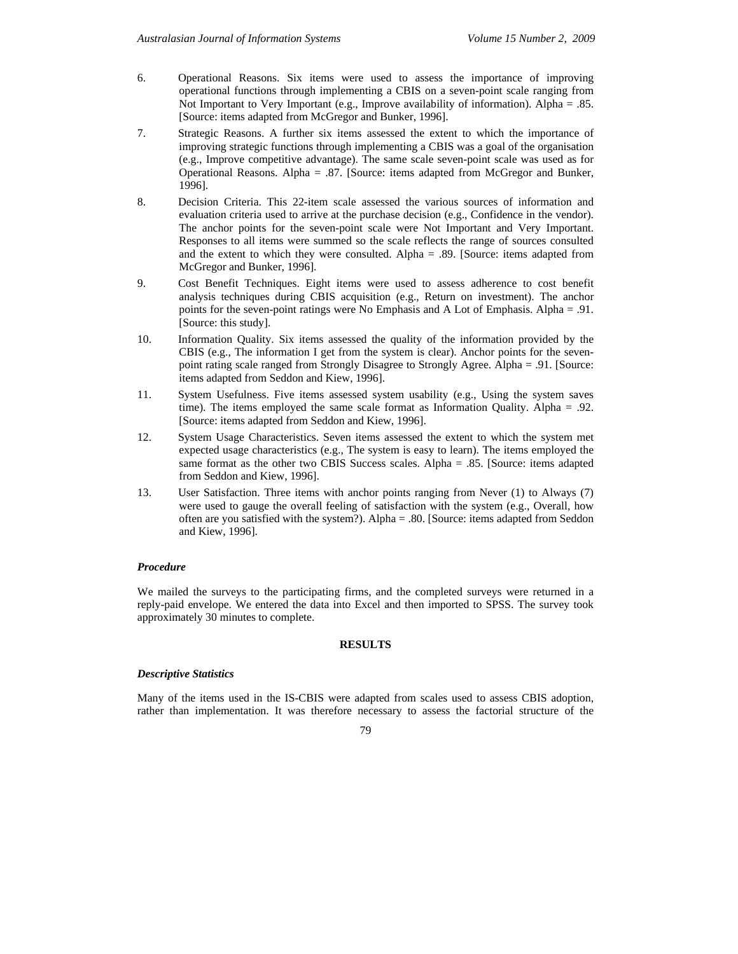- 6. Operational Reasons. Six items were used to assess the importance of improving operational functions through implementing a CBIS on a seven-point scale ranging from Not Important to Very Important (e.g., Improve availability of information). Alpha = .85. [Source: items adapted from McGregor and Bunker, 1996].
- 7. Strategic Reasons. A further six items assessed the extent to which the importance of improving strategic functions through implementing a CBIS was a goal of the organisation (e.g., Improve competitive advantage). The same scale seven-point scale was used as for Operational Reasons. Alpha = .87. [Source: items adapted from McGregor and Bunker, 1996].
- 8. Decision Criteria. This 22-item scale assessed the various sources of information and evaluation criteria used to arrive at the purchase decision (e.g., Confidence in the vendor). The anchor points for the seven-point scale were Not Important and Very Important. Responses to all items were summed so the scale reflects the range of sources consulted and the extent to which they were consulted. Alpha  $= .89$ . [Source: items adapted from McGregor and Bunker, 1996].
- 9. Cost Benefit Techniques. Eight items were used to assess adherence to cost benefit analysis techniques during CBIS acquisition (e.g., Return on investment). The anchor points for the seven-point ratings were No Emphasis and A Lot of Emphasis. Alpha = .91. [Source: this study].
- 10. Information Quality. Six items assessed the quality of the information provided by the CBIS (e.g., The information I get from the system is clear). Anchor points for the sevenpoint rating scale ranged from Strongly Disagree to Strongly Agree. Alpha = .91. [Source: items adapted from Seddon and Kiew, 1996].
- 11. System Usefulness. Five items assessed system usability (e.g., Using the system saves time). The items employed the same scale format as Information Quality. Alpha = .92. [Source: items adapted from Seddon and Kiew, 1996].
- 12. System Usage Characteristics. Seven items assessed the extent to which the system met expected usage characteristics (e.g., The system is easy to learn). The items employed the same format as the other two CBIS Success scales. Alpha = .85. [Source: items adapted from Seddon and Kiew, 1996].
- 13. User Satisfaction. Three items with anchor points ranging from Never (1) to Always (7) were used to gauge the overall feeling of satisfaction with the system (e.g., Overall, how often are you satisfied with the system?). Alpha = .80. [Source: items adapted from Seddon and Kiew, 1996].

# *Procedure*

We mailed the surveys to the participating firms, and the completed surveys were returned in a reply-paid envelope. We entered the data into Excel and then imported to SPSS. The survey took approximately 30 minutes to complete.

# **RESULTS**

# *Descriptive Statistics*

Many of the items used in the IS-CBIS were adapted from scales used to assess CBIS adoption, rather than implementation. It was therefore necessary to assess the factorial structure of the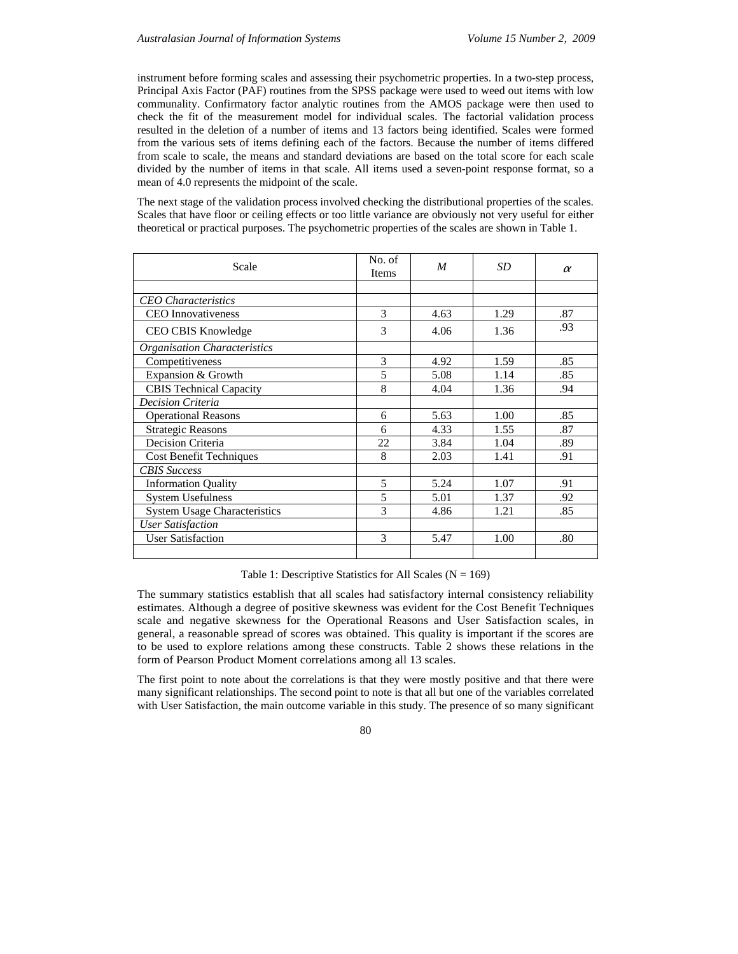instrument before forming scales and assessing their psychometric properties. In a two-step process, Principal Axis Factor (PAF) routines from the SPSS package were used to weed out items with low communality. Confirmatory factor analytic routines from the AMOS package were then used to check the fit of the measurement model for individual scales. The factorial validation process resulted in the deletion of a number of items and 13 factors being identified. Scales were formed from the various sets of items defining each of the factors. Because the number of items differed from scale to scale, the means and standard deviations are based on the total score for each scale divided by the number of items in that scale. All items used a seven-point response format, so a mean of 4.0 represents the midpoint of the scale.

The next stage of the validation process involved checking the distributional properties of the scales. Scales that have floor or ceiling effects or too little variance are obviously not very useful for either theoretical or practical purposes. The psychometric properties of the scales are shown in Table 1.

| Scale                               | No. of<br><b>Items</b> | M    | SD   | $\alpha$ |
|-------------------------------------|------------------------|------|------|----------|
|                                     |                        |      |      |          |
| <b>CEO</b> Characteristics          |                        |      |      |          |
| <b>CEO</b> Innovativeness           | 3                      | 4.63 | 1.29 | .87      |
| CEO CBIS Knowledge                  | 3                      | 4.06 | 1.36 | .93      |
| Organisation Characteristics        |                        |      |      |          |
| Competitiveness                     | 3                      | 4.92 | 1.59 | .85      |
| Expansion & Growth                  | 5                      | 5.08 | 1.14 | .85      |
| <b>CBIS Technical Capacity</b>      | 8                      | 4.04 | 1.36 | .94      |
| <b>Decision Criteria</b>            |                        |      |      |          |
| <b>Operational Reasons</b>          | 6                      | 5.63 | 1.00 | .85      |
| <b>Strategic Reasons</b>            | 6                      | 4.33 | 1.55 | .87      |
| Decision Criteria                   | 22                     | 3.84 | 1.04 | .89      |
| <b>Cost Benefit Techniques</b>      | 8                      | 2.03 | 1.41 | .91      |
| <b>CBIS</b> Success                 |                        |      |      |          |
| <b>Information Quality</b>          | 5                      | 5.24 | 1.07 | .91      |
| <b>System Usefulness</b>            | 5                      | 5.01 | 1.37 | .92      |
| <b>System Usage Characteristics</b> | 3                      | 4.86 | 1.21 | .85      |
| <b>User Satisfaction</b>            |                        |      |      |          |
| <b>User Satisfaction</b>            | 3                      | 5.47 | 1.00 | .80      |
|                                     |                        |      |      |          |

Table 1: Descriptive Statistics for All Scales ( $N = 169$ )

The summary statistics establish that all scales had satisfactory internal consistency reliability estimates. Although a degree of positive skewness was evident for the Cost Benefit Techniques scale and negative skewness for the Operational Reasons and User Satisfaction scales, in general, a reasonable spread of scores was obtained. This quality is important if the scores are to be used to explore relations among these constructs. Table 2 shows these relations in the form of Pearson Product Moment correlations among all 13 scales.

The first point to note about the correlations is that they were mostly positive and that there were many significant relationships. The second point to note is that all but one of the variables correlated with User Satisfaction, the main outcome variable in this study. The presence of so many significant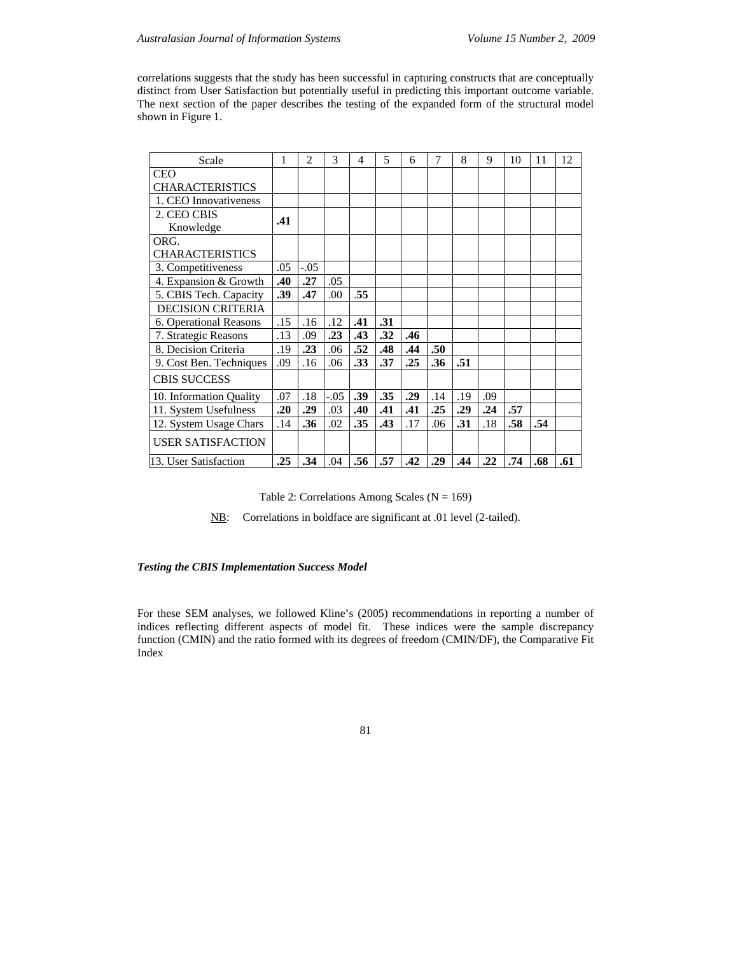correlations suggests that the study has been successful in capturing constructs that are conceptually distinct from User Satisfaction but potentially useful in predicting this important outcome variable. The next section of the paper describes the testing of the expanded form of the structural model shown in Figure 1.

| Scale                    | 1   | $\overline{c}$ | 3      | 4   | 5   | 6   | 7   | 8   | 9   | 10  | 11  | 12  |
|--------------------------|-----|----------------|--------|-----|-----|-----|-----|-----|-----|-----|-----|-----|
| <b>CEO</b>               |     |                |        |     |     |     |     |     |     |     |     |     |
| <b>CHARACTERISTICS</b>   |     |                |        |     |     |     |     |     |     |     |     |     |
| 1. CEO Innovativeness    |     |                |        |     |     |     |     |     |     |     |     |     |
| 2. CEO CBIS              | .41 |                |        |     |     |     |     |     |     |     |     |     |
| Knowledge                |     |                |        |     |     |     |     |     |     |     |     |     |
| ORG.                     |     |                |        |     |     |     |     |     |     |     |     |     |
| <b>CHARACTERISTICS</b>   |     |                |        |     |     |     |     |     |     |     |     |     |
| 3. Competitiveness       | .05 | $-.05$         |        |     |     |     |     |     |     |     |     |     |
| 4. Expansion & Growth    | .40 | .27            | .05    |     |     |     |     |     |     |     |     |     |
| 5. CBIS Tech. Capacity   | .39 | .47            | .00    | .55 |     |     |     |     |     |     |     |     |
| <b>DECISION CRITERIA</b> |     |                |        |     |     |     |     |     |     |     |     |     |
| 6. Operational Reasons   | .15 | .16            | .12    | .41 | .31 |     |     |     |     |     |     |     |
| 7. Strategic Reasons     | .13 | .09            | .23    | .43 | .32 | .46 |     |     |     |     |     |     |
| 8. Decision Criteria     | .19 | .23            | .06    | .52 | .48 | .44 | .50 |     |     |     |     |     |
| 9. Cost Ben. Techniques  | .09 | .16            | .06    | .33 | .37 | .25 | .36 | .51 |     |     |     |     |
| <b>CBIS SUCCESS</b>      |     |                |        |     |     |     |     |     |     |     |     |     |
| 10. Information Quality  | .07 | .18            | $-.05$ | .39 | .35 | .29 | .14 | .19 | .09 |     |     |     |
| 11. System Usefulness    | .20 | .29            | .03    | .40 | .41 | .41 | .25 | .29 | .24 | .57 |     |     |
| 12. System Usage Chars   | .14 | .36            | .02    | .35 | .43 | .17 | .06 | .31 | .18 | .58 | .54 |     |
| <b>USER SATISFACTION</b> |     |                |        |     |     |     |     |     |     |     |     |     |
| 13. User Satisfaction    | .25 | .34            | .04    | .56 | .57 | .42 | .29 | .44 | .22 | .74 | .68 | .61 |

Table 2: Correlations Among Scales ( $N = 169$ )

NB: Correlations in boldface are significant at .01 level (2-tailed).

# *Testing the CBIS Implementation Success Model*

For these SEM analyses, we followed Kline's (2005) recommendations in reporting a number of indices reflecting different aspects of model fit. These indices were the sample discrepancy function (CMIN) and the ratio formed with its degrees of freedom (CMIN/DF), the Comparative Fit Index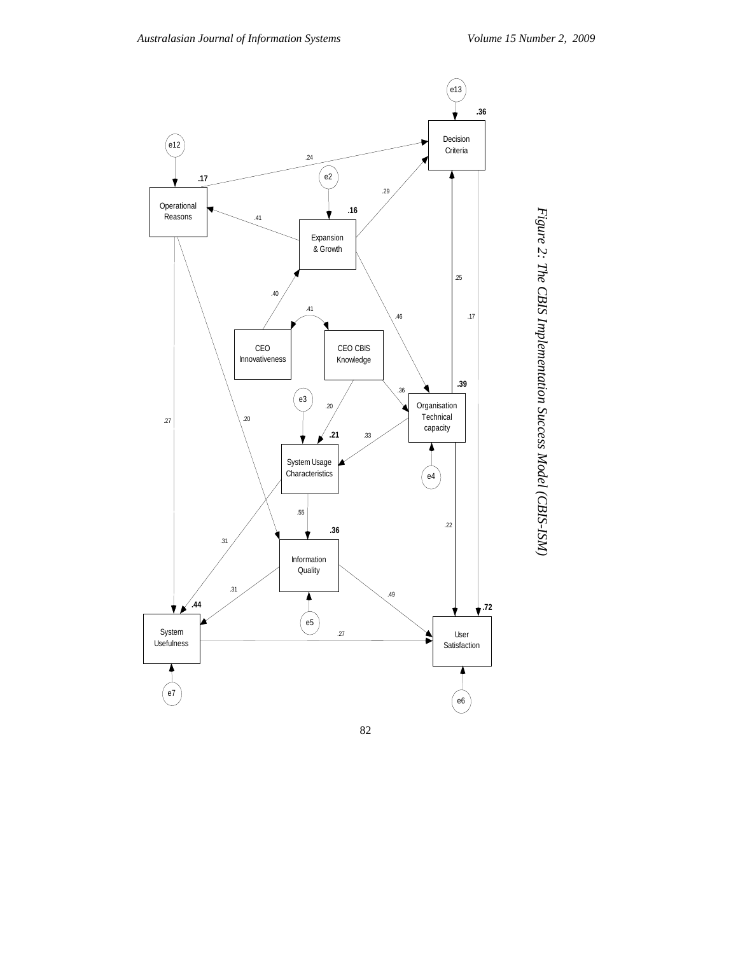Figure 2: The CBIS Implementation Success Model (CBIS-ISM) *Figure 2: The CBIS Implementation Success Model (CBIS-ISM)* 

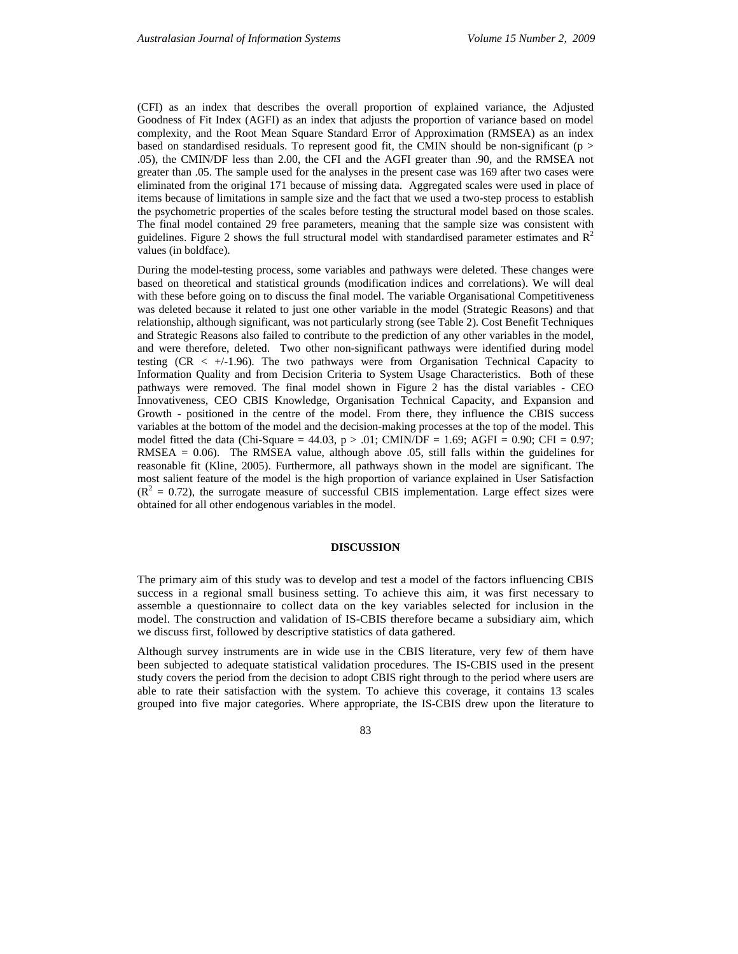(CFI) as an index that describes the overall proportion of explained variance, the Adjusted Goodness of Fit Index (AGFI) as an index that adjusts the proportion of variance based on model complexity, and the Root Mean Square Standard Error of Approximation (RMSEA) as an index based on standardised residuals. To represent good fit, the CMIN should be non-significant ( $p >$ .05), the CMIN/DF less than 2.00, the CFI and the AGFI greater than .90, and the RMSEA not greater than .05. The sample used for the analyses in the present case was 169 after two cases were eliminated from the original 171 because of missing data. Aggregated scales were used in place of items because of limitations in sample size and the fact that we used a two-step process to establish the psychometric properties of the scales before testing the structural model based on those scales. The final model contained 29 free parameters, meaning that the sample size was consistent with guidelines. Figure 2 shows the full structural model with standardised parameter estimates and  $R^2$ values (in boldface).

During the model-testing process, some variables and pathways were deleted. These changes were based on theoretical and statistical grounds (modification indices and correlations). We will deal with these before going on to discuss the final model. The variable Organisational Competitiveness was deleted because it related to just one other variable in the model (Strategic Reasons) and that relationship, although significant, was not particularly strong (see Table 2). Cost Benefit Techniques and Strategic Reasons also failed to contribute to the prediction of any other variables in the model, and were therefore, deleted. Two other non-significant pathways were identified during model testing  $(CR < +1.96)$ . The two pathways were from Organisation Technical Capacity to Information Quality and from Decision Criteria to System Usage Characteristics. Both of these pathways were removed. The final model shown in Figure 2 has the distal variables - CEO Innovativeness, CEO CBIS Knowledge, Organisation Technical Capacity, and Expansion and Growth - positioned in the centre of the model. From there, they influence the CBIS success variables at the bottom of the model and the decision-making processes at the top of the model. This model fitted the data (Chi-Square = 44.03,  $p > .01$ ; CMIN/DF = 1.69; AGFI = 0.90; CFI = 0.97; RMSEA =  $0.06$ ). The RMSEA value, although above  $0.05$ , still falls within the guidelines for reasonable fit (Kline, 2005). Furthermore, all pathways shown in the model are significant. The most salient feature of the model is the high proportion of variance explained in User Satisfaction  $(R<sup>2</sup> = 0.72)$ , the surrogate measure of successful CBIS implementation. Large effect sizes were obtained for all other endogenous variables in the model.

#### **DISCUSSION**

The primary aim of this study was to develop and test a model of the factors influencing CBIS success in a regional small business setting. To achieve this aim, it was first necessary to assemble a questionnaire to collect data on the key variables selected for inclusion in the model. The construction and validation of IS-CBIS therefore became a subsidiary aim, which we discuss first, followed by descriptive statistics of data gathered.

Although survey instruments are in wide use in the CBIS literature, very few of them have been subjected to adequate statistical validation procedures. The IS-CBIS used in the present study covers the period from the decision to adopt CBIS right through to the period where users are able to rate their satisfaction with the system. To achieve this coverage, it contains 13 scales grouped into five major categories. Where appropriate, the IS-CBIS drew upon the literature to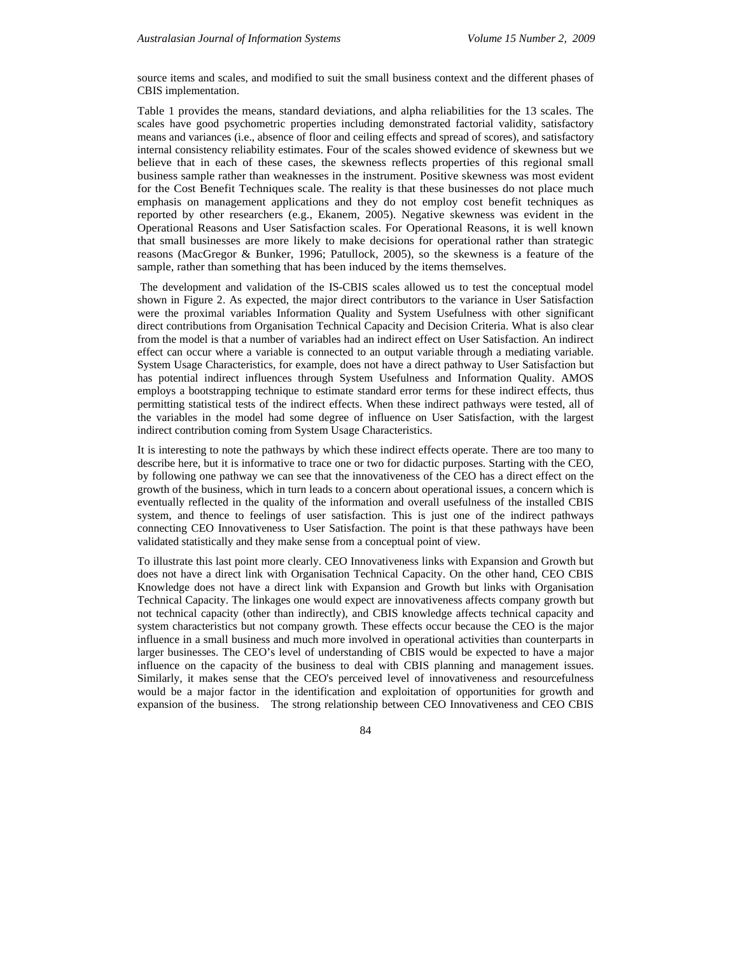source items and scales, and modified to suit the small business context and the different phases of CBIS implementation.

Table 1 provides the means, standard deviations, and alpha reliabilities for the 13 scales. The scales have good psychometric properties including demonstrated factorial validity, satisfactory means and variances (i.e., absence of floor and ceiling effects and spread of scores), and satisfactory internal consistency reliability estimates. Four of the scales showed evidence of skewness but we believe that in each of these cases, the skewness reflects properties of this regional small business sample rather than weaknesses in the instrument. Positive skewness was most evident for the Cost Benefit Techniques scale. The reality is that these businesses do not place much emphasis on management applications and they do not employ cost benefit techniques as reported by other researchers (e.g., Ekanem, 2005). Negative skewness was evident in the Operational Reasons and User Satisfaction scales. For Operational Reasons, it is well known that small businesses are more likely to make decisions for operational rather than strategic reasons (MacGregor & Bunker, 1996; Patullock, 2005), so the skewness is a feature of the sample, rather than something that has been induced by the items themselves.

 The development and validation of the IS-CBIS scales allowed us to test the conceptual model shown in Figure 2. As expected, the major direct contributors to the variance in User Satisfaction were the proximal variables Information Quality and System Usefulness with other significant direct contributions from Organisation Technical Capacity and Decision Criteria. What is also clear from the model is that a number of variables had an indirect effect on User Satisfaction. An indirect effect can occur where a variable is connected to an output variable through a mediating variable. System Usage Characteristics, for example, does not have a direct pathway to User Satisfaction but has potential indirect influences through System Usefulness and Information Quality. AMOS employs a bootstrapping technique to estimate standard error terms for these indirect effects, thus permitting statistical tests of the indirect effects. When these indirect pathways were tested, all of the variables in the model had some degree of influence on User Satisfaction, with the largest indirect contribution coming from System Usage Characteristics.

It is interesting to note the pathways by which these indirect effects operate. There are too many to describe here, but it is informative to trace one or two for didactic purposes. Starting with the CEO, by following one pathway we can see that the innovativeness of the CEO has a direct effect on the growth of the business, which in turn leads to a concern about operational issues, a concern which is eventually reflected in the quality of the information and overall usefulness of the installed CBIS system, and thence to feelings of user satisfaction. This is just one of the indirect pathways connecting CEO Innovativeness to User Satisfaction. The point is that these pathways have been validated statistically and they make sense from a conceptual point of view.

To illustrate this last point more clearly. CEO Innovativeness links with Expansion and Growth but does not have a direct link with Organisation Technical Capacity. On the other hand, CEO CBIS Knowledge does not have a direct link with Expansion and Growth but links with Organisation Technical Capacity. The linkages one would expect are innovativeness affects company growth but not technical capacity (other than indirectly), and CBIS knowledge affects technical capacity and system characteristics but not company growth. These effects occur because the CEO is the major influence in a small business and much more involved in operational activities than counterparts in larger businesses. The CEO's level of understanding of CBIS would be expected to have a major influence on the capacity of the business to deal with CBIS planning and management issues. Similarly, it makes sense that the CEO's perceived level of innovativeness and resourcefulness would be a major factor in the identification and exploitation of opportunities for growth and expansion of the business. The strong relationship between CEO Innovativeness and CEO CBIS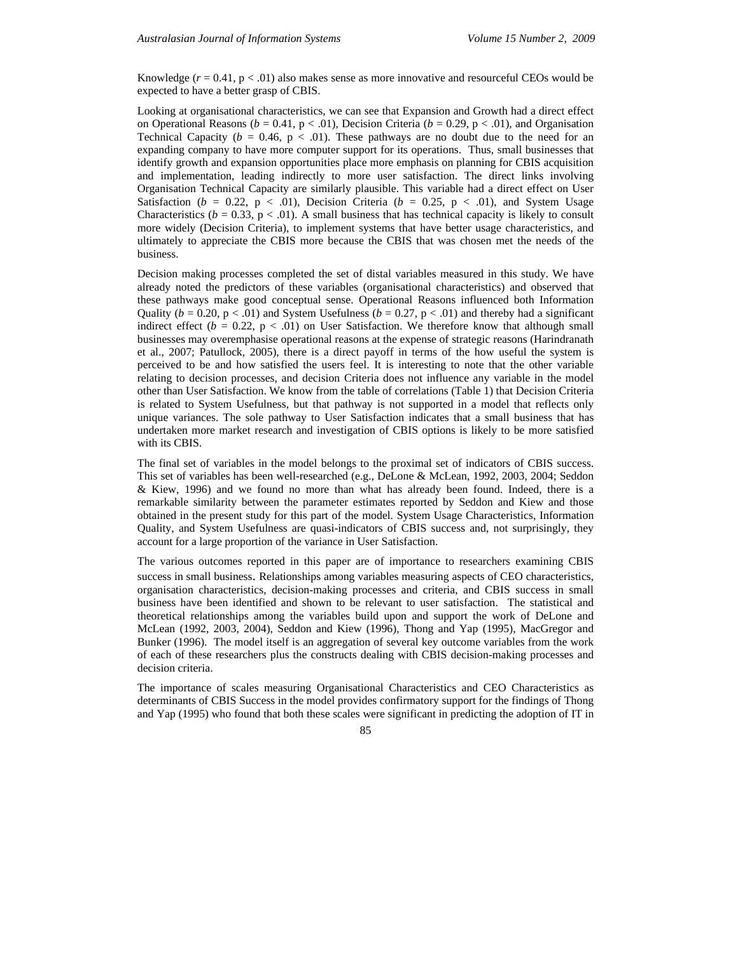Knowledge  $(r = 0.41, p < .01)$  also makes sense as more innovative and resourceful CEOs would be expected to have a better grasp of CBIS.

Looking at organisational characteristics, we can see that Expansion and Growth had a direct effect on Operational Reasons ( $b = 0.41$ ,  $p < .01$ ), Decision Criteria ( $b = 0.29$ ,  $p < .01$ ), and Organisation Technical Capacity ( $b = 0.46$ ,  $p < .01$ ). These pathways are no doubt due to the need for an expanding company to have more computer support for its operations. Thus, small businesses that identify growth and expansion opportunities place more emphasis on planning for CBIS acquisition and implementation, leading indirectly to more user satisfaction. The direct links involving Organisation Technical Capacity are similarly plausible. This variable had a direct effect on User Satisfaction ( $b = 0.22$ ,  $p < .01$ ), Decision Criteria ( $b = 0.25$ ,  $p < .01$ ), and System Usage Characteristics ( $b = 0.33$ ,  $p < .01$ ). A small business that has technical capacity is likely to consult more widely (Decision Criteria), to implement systems that have better usage characteristics, and ultimately to appreciate the CBIS more because the CBIS that was chosen met the needs of the business.

Decision making processes completed the set of distal variables measured in this study. We have already noted the predictors of these variables (organisational characteristics) and observed that these pathways make good conceptual sense. Operational Reasons influenced both Information Quality ( $b = 0.20$ ,  $p < .01$ ) and System Usefulness ( $b = 0.27$ ,  $p < .01$ ) and thereby had a significant indirect effect ( $b = 0.22$ ,  $p < .01$ ) on User Satisfaction. We therefore know that although small businesses may overemphasise operational reasons at the expense of strategic reasons (Harindranath et al., 2007; Patullock, 2005), there is a direct payoff in terms of the how useful the system is perceived to be and how satisfied the users feel. It is interesting to note that the other variable relating to decision processes, and decision Criteria does not influence any variable in the model other than User Satisfaction. We know from the table of correlations (Table 1) that Decision Criteria is related to System Usefulness, but that pathway is not supported in a model that reflects only unique variances. The sole pathway to User Satisfaction indicates that a small business that has undertaken more market research and investigation of CBIS options is likely to be more satisfied with its CBIS.

The final set of variables in the model belongs to the proximal set of indicators of CBIS success. This set of variables has been well-researched (e.g., DeLone & McLean, 1992, 2003, 2004; Seddon & Kiew, 1996) and we found no more than what has already been found. Indeed, there is a remarkable similarity between the parameter estimates reported by Seddon and Kiew and those obtained in the present study for this part of the model. System Usage Characteristics, Information Quality, and System Usefulness are quasi-indicators of CBIS success and, not surprisingly, they account for a large proportion of the variance in User Satisfaction.

The various outcomes reported in this paper are of importance to researchers examining CBIS success in small business. Relationships among variables measuring aspects of CEO characteristics, organisation characteristics, decision-making processes and criteria, and CBIS success in small business have been identified and shown to be relevant to user satisfaction. The statistical and theoretical relationships among the variables build upon and support the work of DeLone and McLean (1992, 2003, 2004), Seddon and Kiew (1996), Thong and Yap (1995), MacGregor and Bunker (1996). The model itself is an aggregation of several key outcome variables from the work of each of these researchers plus the constructs dealing with CBIS decision-making processes and decision criteria.

The importance of scales measuring Organisational Characteristics and CEO Characteristics as determinants of CBIS Success in the model provides confirmatory support for the findings of Thong and Yap (1995) who found that both these scales were significant in predicting the adoption of IT in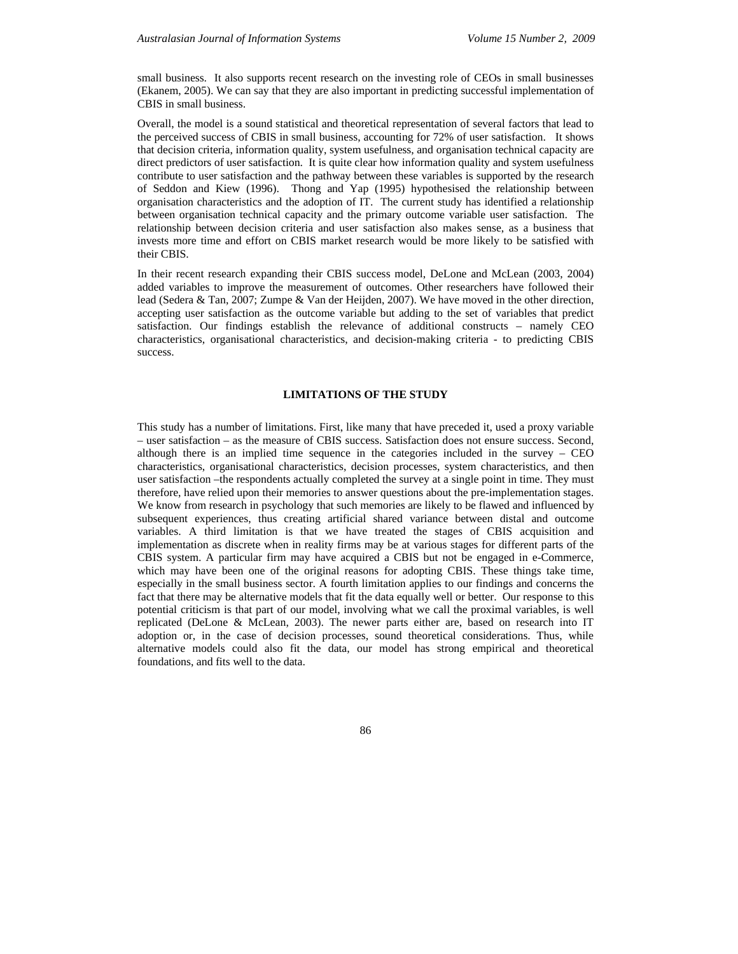small business. It also supports recent research on the investing role of CEOs in small businesses (Ekanem, 2005). We can say that they are also important in predicting successful implementation of CBIS in small business.

Overall, the model is a sound statistical and theoretical representation of several factors that lead to the perceived success of CBIS in small business, accounting for 72% of user satisfaction. It shows that decision criteria, information quality, system usefulness, and organisation technical capacity are direct predictors of user satisfaction. It is quite clear how information quality and system usefulness contribute to user satisfaction and the pathway between these variables is supported by the research of Seddon and Kiew (1996). Thong and Yap (1995) hypothesised the relationship between organisation characteristics and the adoption of IT. The current study has identified a relationship between organisation technical capacity and the primary outcome variable user satisfaction. The relationship between decision criteria and user satisfaction also makes sense, as a business that invests more time and effort on CBIS market research would be more likely to be satisfied with their CBIS.

In their recent research expanding their CBIS success model, DeLone and McLean (2003, 2004) added variables to improve the measurement of outcomes. Other researchers have followed their lead (Sedera & Tan, 2007; Zumpe & Van der Heijden, 2007). We have moved in the other direction, accepting user satisfaction as the outcome variable but adding to the set of variables that predict satisfaction. Our findings establish the relevance of additional constructs – namely CEO characteristics, organisational characteristics, and decision-making criteria - to predicting CBIS success.

# **LIMITATIONS OF THE STUDY**

This study has a number of limitations. First, like many that have preceded it, used a proxy variable – user satisfaction – as the measure of CBIS success. Satisfaction does not ensure success. Second, although there is an implied time sequence in the categories included in the survey – CEO characteristics, organisational characteristics, decision processes, system characteristics, and then user satisfaction –the respondents actually completed the survey at a single point in time. They must therefore, have relied upon their memories to answer questions about the pre-implementation stages. We know from research in psychology that such memories are likely to be flawed and influenced by subsequent experiences, thus creating artificial shared variance between distal and outcome variables. A third limitation is that we have treated the stages of CBIS acquisition and implementation as discrete when in reality firms may be at various stages for different parts of the CBIS system. A particular firm may have acquired a CBIS but not be engaged in e-Commerce, which may have been one of the original reasons for adopting CBIS. These things take time, especially in the small business sector. A fourth limitation applies to our findings and concerns the fact that there may be alternative models that fit the data equally well or better. Our response to this potential criticism is that part of our model, involving what we call the proximal variables, is well replicated (DeLone & McLean, 2003). The newer parts either are, based on research into IT adoption or, in the case of decision processes, sound theoretical considerations. Thus, while alternative models could also fit the data, our model has strong empirical and theoretical foundations, and fits well to the data.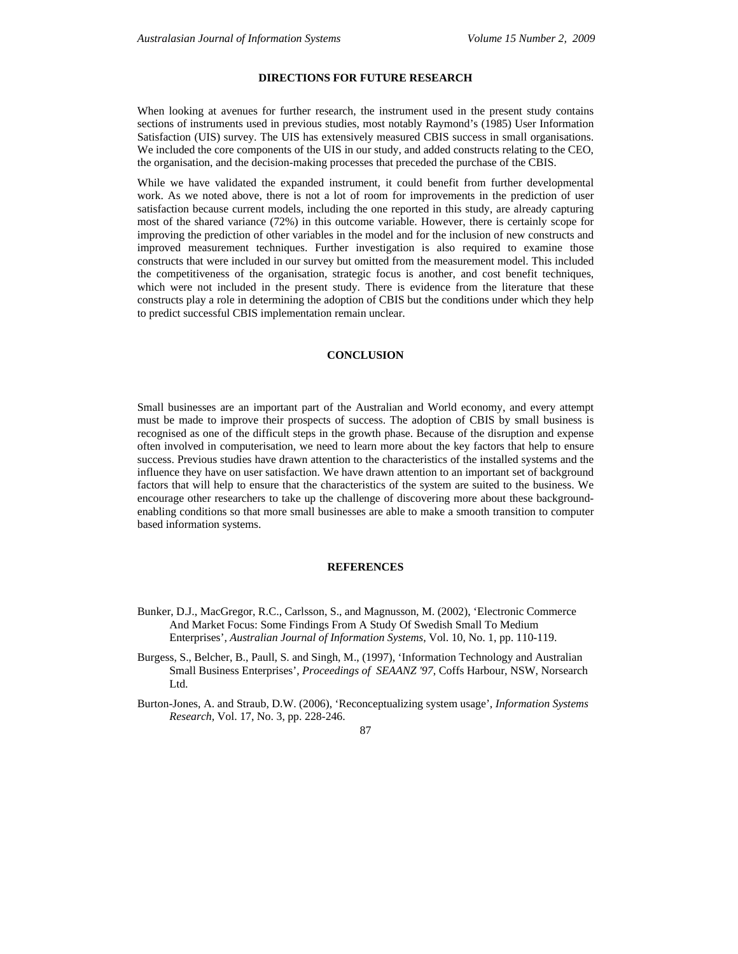## **DIRECTIONS FOR FUTURE RESEARCH**

When looking at avenues for further research, the instrument used in the present study contains sections of instruments used in previous studies, most notably Raymond's (1985) User Information Satisfaction (UIS) survey. The UIS has extensively measured CBIS success in small organisations. We included the core components of the UIS in our study, and added constructs relating to the CEO, the organisation, and the decision-making processes that preceded the purchase of the CBIS.

While we have validated the expanded instrument, it could benefit from further developmental work. As we noted above, there is not a lot of room for improvements in the prediction of user satisfaction because current models, including the one reported in this study, are already capturing most of the shared variance (72%) in this outcome variable. However, there is certainly scope for improving the prediction of other variables in the model and for the inclusion of new constructs and improved measurement techniques. Further investigation is also required to examine those constructs that were included in our survey but omitted from the measurement model. This included the competitiveness of the organisation, strategic focus is another, and cost benefit techniques, which were not included in the present study. There is evidence from the literature that these constructs play a role in determining the adoption of CBIS but the conditions under which they help to predict successful CBIS implementation remain unclear.

### **CONCLUSION**

Small businesses are an important part of the Australian and World economy, and every attempt must be made to improve their prospects of success. The adoption of CBIS by small business is recognised as one of the difficult steps in the growth phase. Because of the disruption and expense often involved in computerisation, we need to learn more about the key factors that help to ensure success. Previous studies have drawn attention to the characteristics of the installed systems and the influence they have on user satisfaction. We have drawn attention to an important set of background factors that will help to ensure that the characteristics of the system are suited to the business. We encourage other researchers to take up the challenge of discovering more about these backgroundenabling conditions so that more small businesses are able to make a smooth transition to computer based information systems.

#### **REFERENCES**

- Bunker, D.J., MacGregor, R.C., Carlsson, S., and Magnusson, M. (2002), 'Electronic Commerce And Market Focus: Some Findings From A Study Of Swedish Small To Medium Enterprises', *Australian Journal of Information Systems*, Vol. 10, No. 1, pp. 110-119.
- Burgess, S., Belcher, B., Paull, S. and Singh, M., (1997), 'Information Technology and Australian Small Business Enterprises', *Proceedings of SEAANZ '97*, Coffs Harbour, NSW, Norsearch Ltd.
- Burton-Jones, A. and Straub, D.W. (2006), 'Reconceptualizing system usage', *Information Systems Research,* Vol. 17, No. 3, pp. 228-246.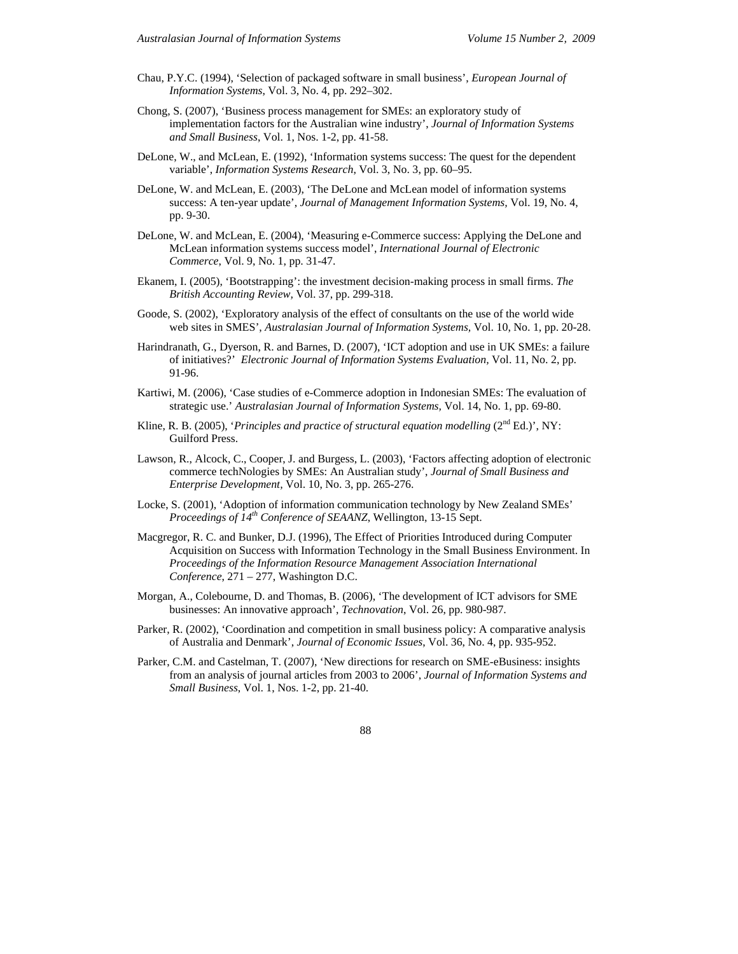- Chau, P.Y.C. (1994), 'Selection of packaged software in small business', *European Journal of Information Systems*, Vol. 3, No. 4, pp. 292–302.
- Chong, S. (2007), 'Business process management for SMEs: an exploratory study of implementation factors for the Australian wine industry', *Journal of Information Systems and Small Business*, Vol. 1, Nos. 1-2, pp. 41-58.
- DeLone, W., and McLean, E. (1992), 'Information systems success: The quest for the dependent variable', *Information Systems Research*, Vol. 3, No. 3, pp. 60–95.
- DeLone, W. and McLean, E. (2003), 'The DeLone and McLean model of information systems success: A ten-year update', *Journal of Management Information Systems,* Vol. 19, No. 4, pp. 9-30.
- DeLone, W. and McLean, E. (2004), 'Measuring e-Commerce success: Applying the DeLone and McLean information systems success model', *International Journal of Electronic Commerce*, Vol. 9, No. 1, pp. 31-47.
- Ekanem, I. (2005), 'Bootstrapping': the investment decision-making process in small firms. *The British Accounting Review,* Vol. 37, pp. 299-318.
- Goode, S. (2002), 'Exploratory analysis of the effect of consultants on the use of the world wide web sites in SMES', *Australasian Journal of Information Systems,* Vol. 10, No. 1, pp. 20-28.
- Harindranath, G., Dyerson, R. and Barnes, D. (2007), 'ICT adoption and use in UK SMEs: a failure of initiatives?' *Electronic Journal of Information Systems Evaluation,* Vol. 11, No. 2, pp. 91-96.
- Kartiwi, M. (2006), 'Case studies of e-Commerce adoption in Indonesian SMEs: The evaluation of strategic use.' *Australasian Journal of Information Systems,* Vol. 14, No. 1, pp. 69-80.
- Kline, R. B. (2005), *'Principles and practice of structural equation modelling* ( $2<sup>nd</sup> Ed.$ )', NY: Guilford Press.
- Lawson, R., Alcock, C., Cooper, J. and Burgess, L. (2003), 'Factors affecting adoption of electronic commerce techNologies by SMEs: An Australian study', *Journal of Small Business and Enterprise Development,* Vol. 10, No. 3, pp. 265-276.
- Locke, S. (2001), 'Adoption of information communication technology by New Zealand SMEs' *Proceedings of 14th Conference of SEAANZ*, Wellington, 13-15 Sept.
- Macgregor, R. C. and Bunker, D.J. (1996), The Effect of Priorities Introduced during Computer Acquisition on Success with Information Technology in the Small Business Environment. In *Proceedings of the Information Resource Management Association International Conference*, 271 – 277, Washington D.C.
- Morgan, A., Colebourne, D. and Thomas, B. (2006), 'The development of ICT advisors for SME businesses: An innovative approach', *Technovation*, Vol. 26, pp. 980-987.
- Parker, R. (2002), 'Coordination and competition in small business policy: A comparative analysis of Australia and Denmark', *Journal of Economic Issues*, Vol. 36, No. 4, pp. 935-952.
- Parker, C.M. and Castelman, T. (2007), 'New directions for research on SME-eBusiness: insights from an analysis of journal articles from 2003 to 2006', *Journal of Information Systems and Small Business*, Vol. 1, Nos. 1-2, pp. 21-40.